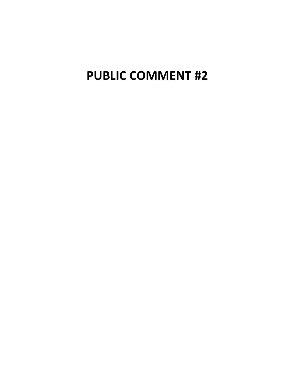## **PUBLIC COMMENT #2**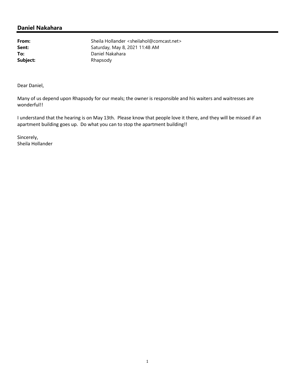## **Daniel Nakahara**

From: Sheila Hollander <sheilahol@comcast.net> **Sent:** Saturday, May 8, 2021 11:48 AM To: Daniel Nakahara Subject: Rhapsody

Dear Daniel,

Many of us depend upon Rhapsody for our meals; the owner is responsible and his waiters and waitresses are wonderful!!

I understand that the hearing is on May 13th. Please know that people love it there, and they will be missed if an apartment building goes up. Do what you can to stop the apartment building!!

Sincerely, Sheila Hollander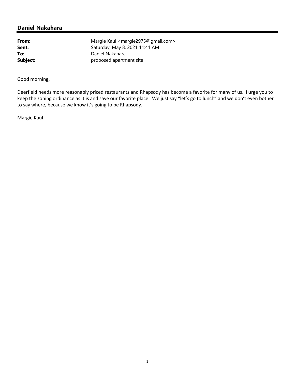## **Daniel Nakahara**

**From:** Margie Kaul <margie2975@gmail.com> **Sent:** Saturday, May 8, 2021 11:41 AM To: Daniel Nakahara **Subject: Subject: proposed apartment site** 

Good morning,

Deerfield needs more reasonably priced restaurants and Rhapsody has become a favorite for many of us. I urge you to keep the zoning ordinance as it is and save our favorite place. We just say "let's go to lunch" and we don't even bother to say where, because we know it's going to be Rhapsody.

Margie Kaul